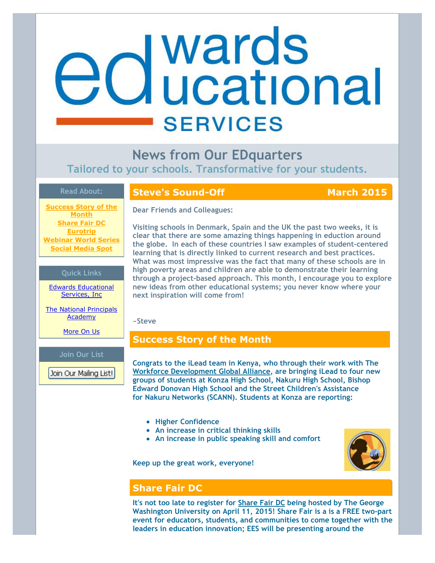# **Mards**<br>and Wational **SERVICES**

**News from Our EDquarters Tailored to your schools. Transformative for your students.**

## **Read About:**

**[Success Story of the](https://ui.constantcontact.com/visualeditor/visual_editor_preview.jsp?agent.uid=1120545047627&format=html&printFrame=true#LETTER.BLOCK10) Month [Share Fair DC](https://ui.constantcontact.com/visualeditor/visual_editor_preview.jsp?agent.uid=1120545047627&format=html&printFrame=true#LETTER.BLOCK27) [Eurotrip](https://ui.constantcontact.com/visualeditor/visual_editor_preview.jsp?agent.uid=1120545047627&format=html&printFrame=true#LETTER.BLOCK21) [Webinar World Series](https://ui.constantcontact.com/visualeditor/visual_editor_preview.jsp?agent.uid=1120545047627&format=html&printFrame=true#LETTER.BLOCK24) [Social Media Spot](https://ui.constantcontact.com/visualeditor/visual_editor_preview.jsp?agent.uid=1120545047627&format=html&printFrame=true#LETTER.BLOCK22)**

### **Quick Links**

[Edwards Educational](http://r20.rs6.net/tn.jsp?e=001tncpLtex2qH9iX4lWOiv48vUyCIKoNSRribrR8govX2x_R1l0pyjm1i91cgUXyYexVgWtiBLxyS4IfJmPd5U-bDqfVRFYg0BSul8gQuBFpVG7_NbJNr_2w==) Services, Inc

[The National Principals](http://r20.rs6.net/tn.jsp?e=001tncpLtex2qH9iX4lWOiv48vUyCIKoNSRribrR8govX2x_R1l0pyjm1i91cgUXyYexVgWtiBLxyQatLomcQl8lIswx4M80KPePJ9xPQcuMjES27Z8L7akui2GecIyook9) **Academy** 

[More On Us](http://r20.rs6.net/tn.jsp?e=001tncpLtex2qH9iX4lWOiv48vUyCIKoNSRribrR8govX2x_R1l0pyjm1i91cgUXyYexVgWtiBLxyS4IfJmPd5U-bDqfVRFYg0BSul8gQuBFpW_5d2Fr4x_qN0HZx1lFBhY)

### **Join Our List**

Join Our Mailing List!

# **Steve's Sound-Off March 2015**

**Dear Friends and Colleagues:**

**Visiting schools in Denmark, Spain and the UK the past two weeks, it is clear that there are some amazing things happening in eduction around the globe. In each of these countries I saw examples of student-centered learning that is directly linked to current research and best practices. What was most impressive was the fact that many of these schools are in high poverty areas and children are able to demonstrate their learning through a project-based approach. This month, I encourage you to explore new ideas from other educational systems; you never know where your next inspiration will come from!**

### **~Steve**

# **Success Story of the Month**

**Congrats to the iLead team in Kenya, who through their work with The [Workforce Development Global Alliance,](http://r20.rs6.net/tn.jsp?e=001tncpLtex2qH9iX4lWOiv48vUyCIKoNSRribrR8govX2x_R1l0pyjm1i91cgUXyYexVgWtiBLxyTpUNp17eg5kJXGo26xSpdgumNqrINnyXB_Z8CySh4e62l8Pr3tBur3) are bringing iLead to four new groups of students at Konza High School, Nakuru High School, Bishop Edward Donovan High School and the Street Children's Assistance for Nakuru Networks (SCANN). Students at Konza are reporting:**

- **Higher Confidence**
- **An increase in critical thinking skills**
- **An increase in public speaking skill and comfort**

**Keep up the great work, everyone!** 



# **Share Fair DC**

**It's not too late to register for [Share Fair DC](http://r20.rs6.net/tn.jsp?e=001tncpLtex2qH9iX4lWOiv48vUyCIKoNSRribrR8govX2x_R1l0pyjm1i91cgUXyYexVgWtiBLxyQSA-xIZKeZ1meeBPo6wgGkdJlNWy8t9Jd7FVPbieA18s82sihGCAuFLofY96BuEFqDlO1vuQD-xQ==) being hosted by The George Washington University on April 11, 2015! Share Fair is a is a FREE two-part event for educators, students, and communities to come together with the leaders in education innovation; EES will be presenting around the**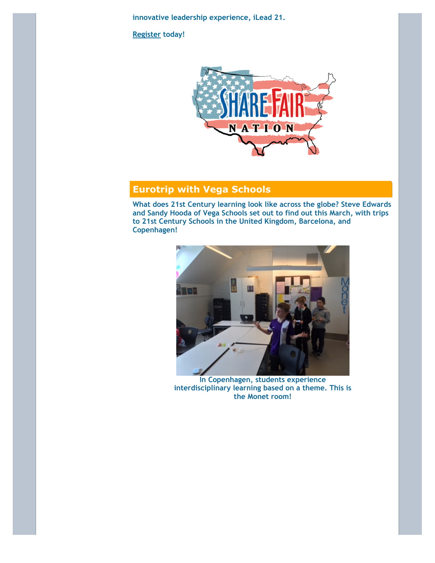**innovative leadership experience, iLead 21.** 

**[Register](http://r20.rs6.net/tn.jsp?e=001tncpLtex2qH9iX4lWOiv48vUyCIKoNSRribrR8govX2x_R1l0pyjm1i91cgUXyYehK_i0ETZ1cuPwNwP0JrYYkmnunykl_tjxERQVmsZkkEyKqpwUTP2NRzaMnSEvoJWIM5EedS4IhkyLg_efyLFRAqp8Z50JNbkrAO77vp6YBUjHug5W5NVp4KuLj6Se1a9EywQtGIN4rx5f0Pa3M13fA==) today!** 



# **Eurotrip with Vega Schools**

**What does 21st Century learning look like across the globe? Steve Edwards and Sandy Hooda of Vega Schools set out to find out this March, with trips to 21st Century Schools in the United Kingdom, Barcelona, and Copenhagen!** 



**In Copenhagen, students experience interdisciplinary learning based on a theme. This is the Monet room!**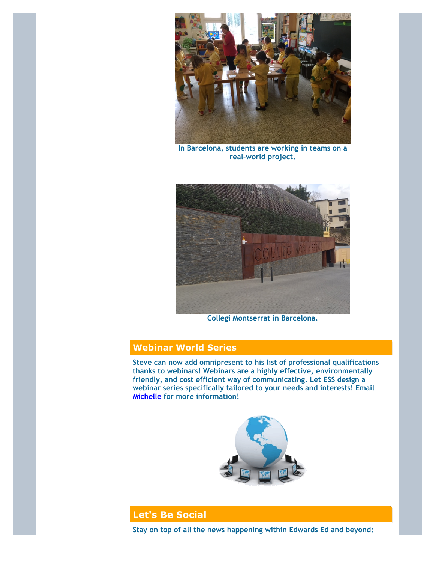

**In Barcelona, students are working in teams on a real-world project.**



**Collegi Montserrat in Barcelona.**

# **Webinar World Series**

**Steve can now add omnipresent to his list of professional qualifications thanks to webinars! Webinars are a highly effective, environmentally friendly, and cost efficient way of communicating. Let ESS design a webinar series specifically tailored to your needs and interests! Email [Michelle](mailto:michelle@edwardsedservices.com) for more information!** 



# **Let's Be Social**

**Stay on top of all the news happening within Edwards Ed and beyond:**